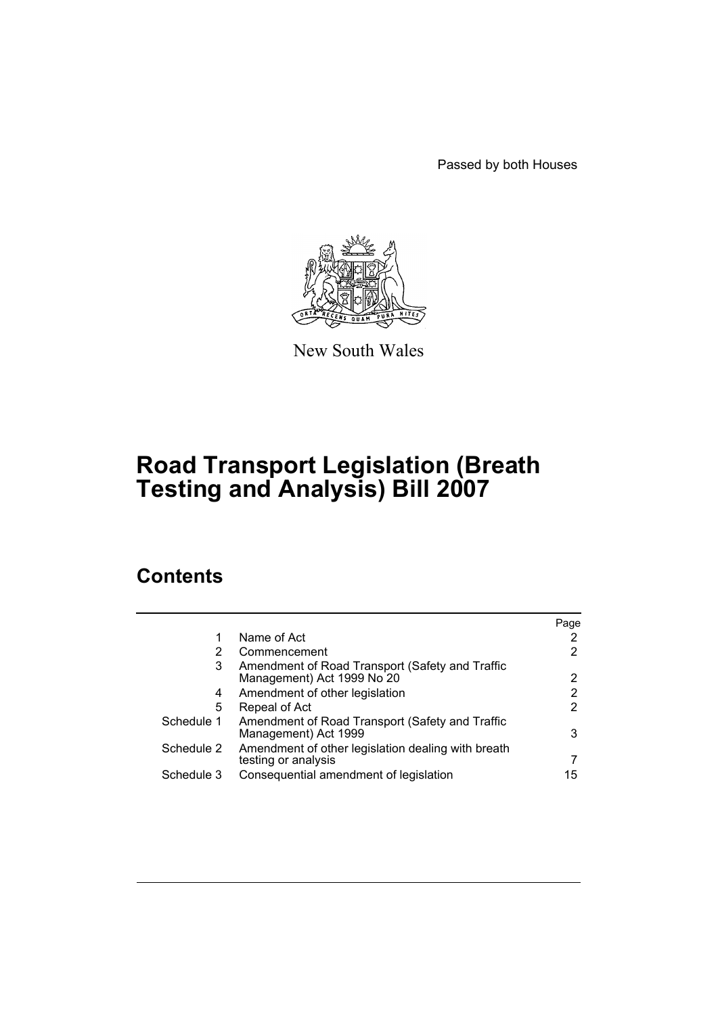Passed by both Houses



New South Wales

# **Road Transport Legislation (Breath Testing and Analysis) Bill 2007**

# **Contents**

|            |                                                                               | Page |
|------------|-------------------------------------------------------------------------------|------|
| 1          | Name of Act                                                                   |      |
| 2          | Commencement                                                                  | 2    |
| 3          | Amendment of Road Transport (Safety and Traffic<br>Management) Act 1999 No 20 |      |
| 4          | Amendment of other legislation                                                | 2    |
| 5          | Repeal of Act                                                                 | 2    |
| Schedule 1 | Amendment of Road Transport (Safety and Traffic<br>Management) Act 1999       | 3    |
| Schedule 2 | Amendment of other legislation dealing with breath<br>testing or analysis     |      |
| Schedule 3 | Consequential amendment of legislation                                        | 15   |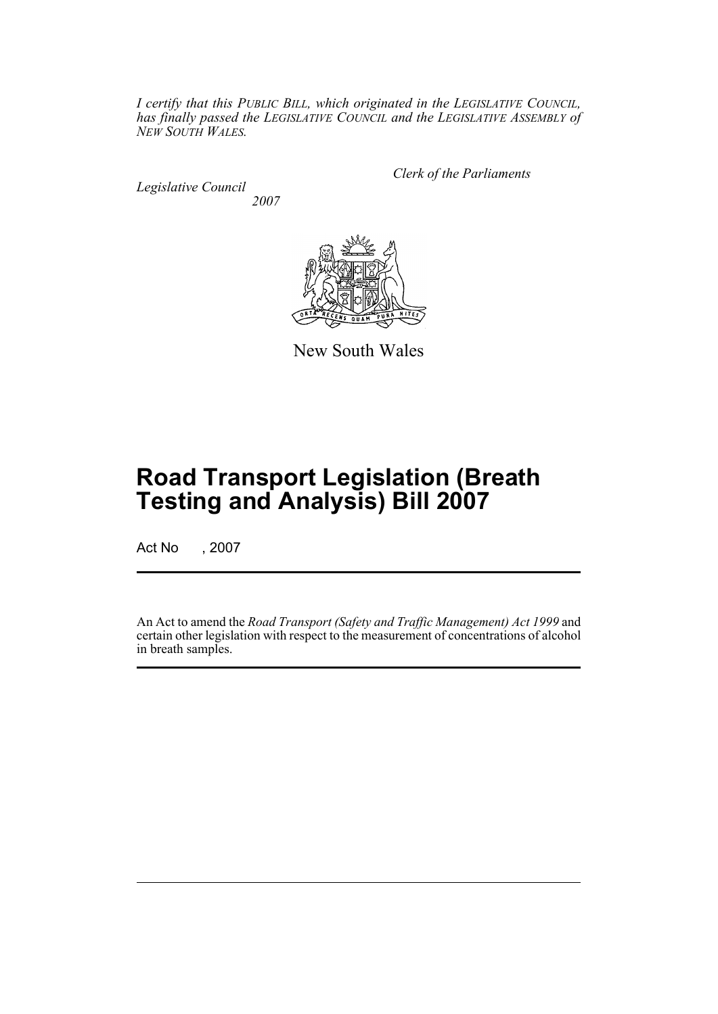*I certify that this PUBLIC BILL, which originated in the LEGISLATIVE COUNCIL, has finally passed the LEGISLATIVE COUNCIL and the LEGISLATIVE ASSEMBLY of NEW SOUTH WALES.*

*Legislative Council 2007* *Clerk of the Parliaments*



New South Wales

# **Road Transport Legislation (Breath Testing and Analysis) Bill 2007**

Act No , 2007

An Act to amend the *Road Transport (Safety and Traffic Management) Act 1999* and certain other legislation with respect to the measurement of concentrations of alcohol in breath samples.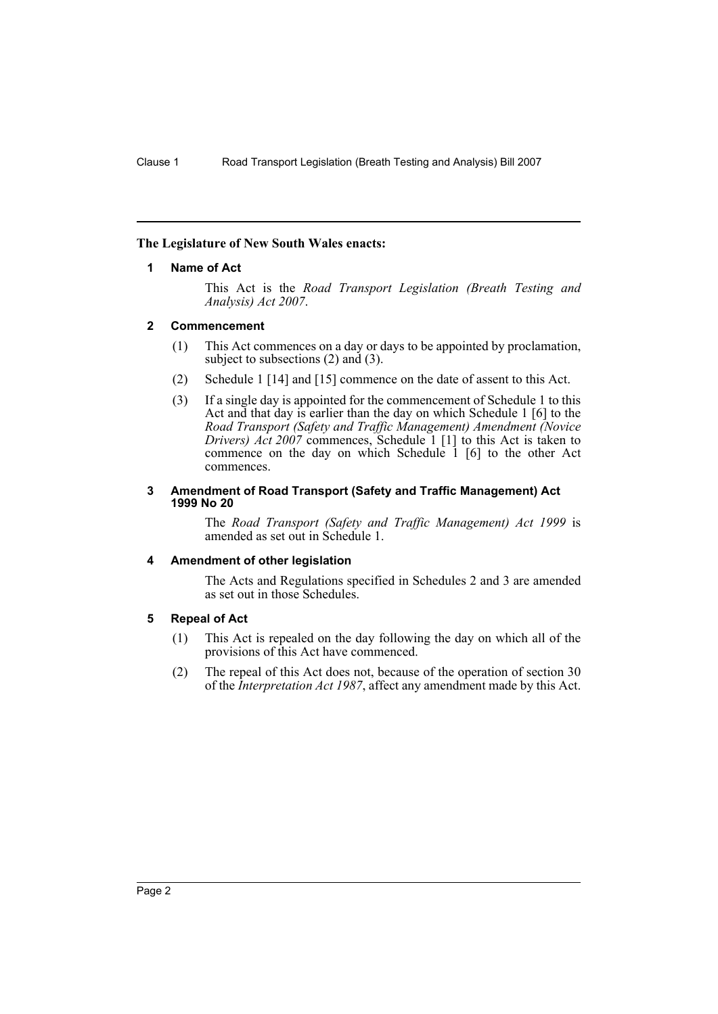## <span id="page-2-0"></span>**The Legislature of New South Wales enacts:**

## **1 Name of Act**

This Act is the *Road Transport Legislation (Breath Testing and Analysis) Act 2007*.

## <span id="page-2-1"></span>**2 Commencement**

- (1) This Act commences on a day or days to be appointed by proclamation, subject to subsections (2) and (3).
- (2) Schedule 1 [14] and [15] commence on the date of assent to this Act.
- (3) If a single day is appointed for the commencement of Schedule 1 to this Act and that day is earlier than the day on which Schedule 1 [6] to the *Road Transport (Safety and Traffic Management) Amendment (Novice Drivers) Act 2007* commences, Schedule 1 [1] to this Act is taken to commence on the day on which Schedule 1 [6] to the other Act commences.

#### <span id="page-2-2"></span>**3 Amendment of Road Transport (Safety and Traffic Management) Act 1999 No 20**

The *Road Transport (Safety and Traffic Management) Act 1999* is amended as set out in Schedule 1.

# <span id="page-2-3"></span>**4 Amendment of other legislation**

The Acts and Regulations specified in Schedules 2 and 3 are amended as set out in those Schedules.

# <span id="page-2-4"></span>**5 Repeal of Act**

- (1) This Act is repealed on the day following the day on which all of the provisions of this Act have commenced.
- (2) The repeal of this Act does not, because of the operation of section 30 of the *Interpretation Act 1987*, affect any amendment made by this Act.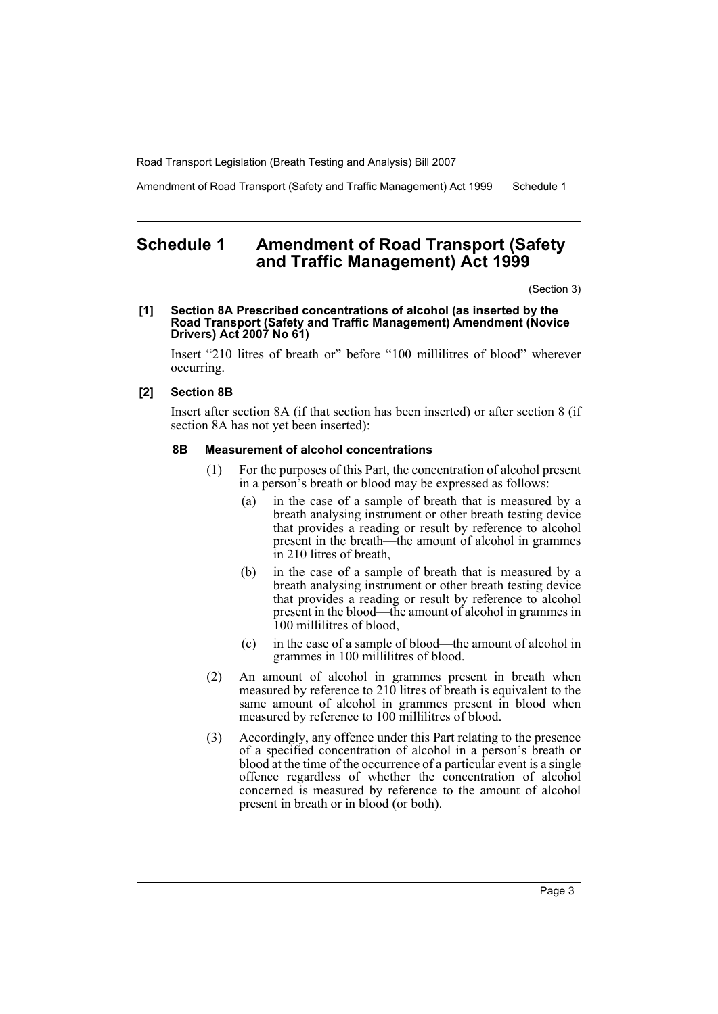Amendment of Road Transport (Safety and Traffic Management) Act 1999 Schedule 1

# <span id="page-3-0"></span>**Schedule 1 Amendment of Road Transport (Safety and Traffic Management) Act 1999**

(Section 3)

#### **[1] Section 8A Prescribed concentrations of alcohol (as inserted by the Road Transport (Safety and Traffic Management) Amendment (Novice Drivers) Act 2007 No 61)**

Insert "210 litres of breath or" before "100 millilitres of blood" wherever occurring.

## **[2] Section 8B**

Insert after section 8A (if that section has been inserted) or after section 8 (if section 8A has not yet been inserted):

#### **8B Measurement of alcohol concentrations**

- (1) For the purposes of this Part, the concentration of alcohol present in a person's breath or blood may be expressed as follows:
	- (a) in the case of a sample of breath that is measured by a breath analysing instrument or other breath testing device that provides a reading or result by reference to alcohol present in the breath—the amount of alcohol in grammes in 210 litres of breath,
	- (b) in the case of a sample of breath that is measured by a breath analysing instrument or other breath testing device that provides a reading or result by reference to alcohol present in the blood—the amount of alcohol in grammes in 100 millilitres of blood,
	- (c) in the case of a sample of blood—the amount of alcohol in grammes in 100 millilitres of blood.
- (2) An amount of alcohol in grammes present in breath when measured by reference to 210 litres of breath is equivalent to the same amount of alcohol in grammes present in blood when measured by reference to 100 millilitres of blood.
- (3) Accordingly, any offence under this Part relating to the presence of a specified concentration of alcohol in a person's breath or blood at the time of the occurrence of a particular event is a single offence regardless of whether the concentration of alcohol concerned is measured by reference to the amount of alcohol present in breath or in blood (or both).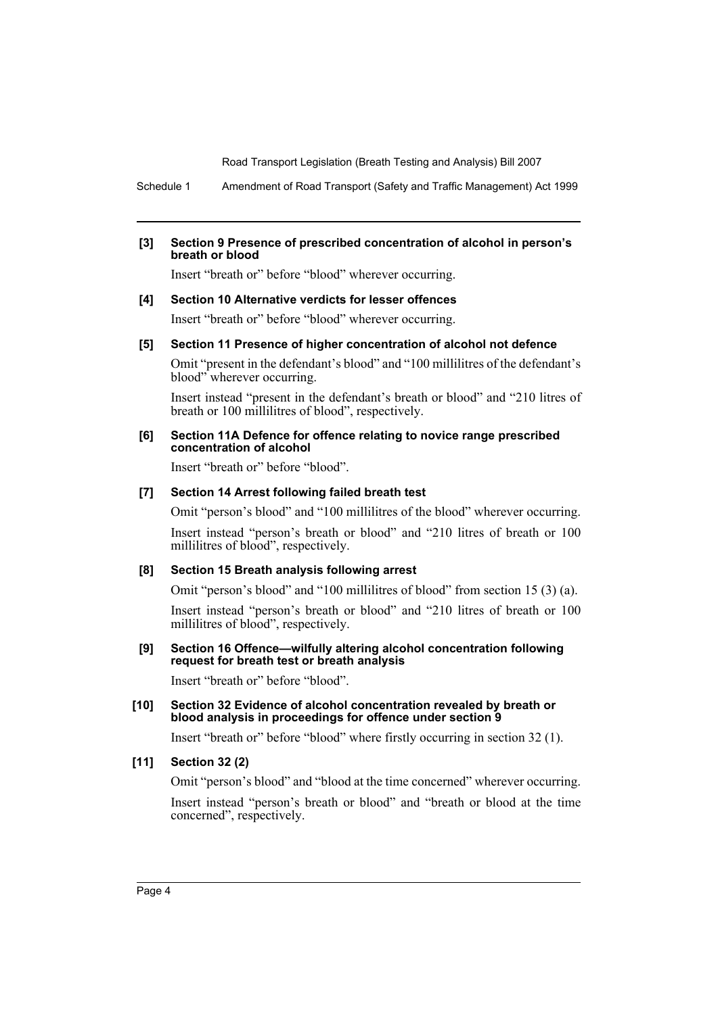Schedule 1 Amendment of Road Transport (Safety and Traffic Management) Act 1999

## **[3] Section 9 Presence of prescribed concentration of alcohol in person's breath or blood**

Insert "breath or" before "blood" wherever occurring.

#### **[4] Section 10 Alternative verdicts for lesser offences**

Insert "breath or" before "blood" wherever occurring.

#### **[5] Section 11 Presence of higher concentration of alcohol not defence**

Omit "present in the defendant's blood" and "100 millilitres of the defendant's blood" wherever occurring.

Insert instead "present in the defendant's breath or blood" and "210 litres of breath or 100 millilitres of blood", respectively.

#### **[6] Section 11A Defence for offence relating to novice range prescribed concentration of alcohol**

Insert "breath or" before "blood".

#### **[7] Section 14 Arrest following failed breath test**

Omit "person's blood" and "100 millilitres of the blood" wherever occurring.

Insert instead "person's breath or blood" and "210 litres of breath or 100 millilitres of blood", respectively.

## **[8] Section 15 Breath analysis following arrest**

Omit "person's blood" and "100 millilitres of blood" from section 15 (3) (a).

Insert instead "person's breath or blood" and "210 litres of breath or 100 millilitres of blood", respectively.

#### **[9] Section 16 Offence—wilfully altering alcohol concentration following request for breath test or breath analysis**

Insert "breath or" before "blood".

#### **[10] Section 32 Evidence of alcohol concentration revealed by breath or blood analysis in proceedings for offence under section 9**

Insert "breath or" before "blood" where firstly occurring in section 32 (1).

# **[11] Section 32 (2)**

Omit "person's blood" and "blood at the time concerned" wherever occurring. Insert instead "person's breath or blood" and "breath or blood at the time concerned", respectively.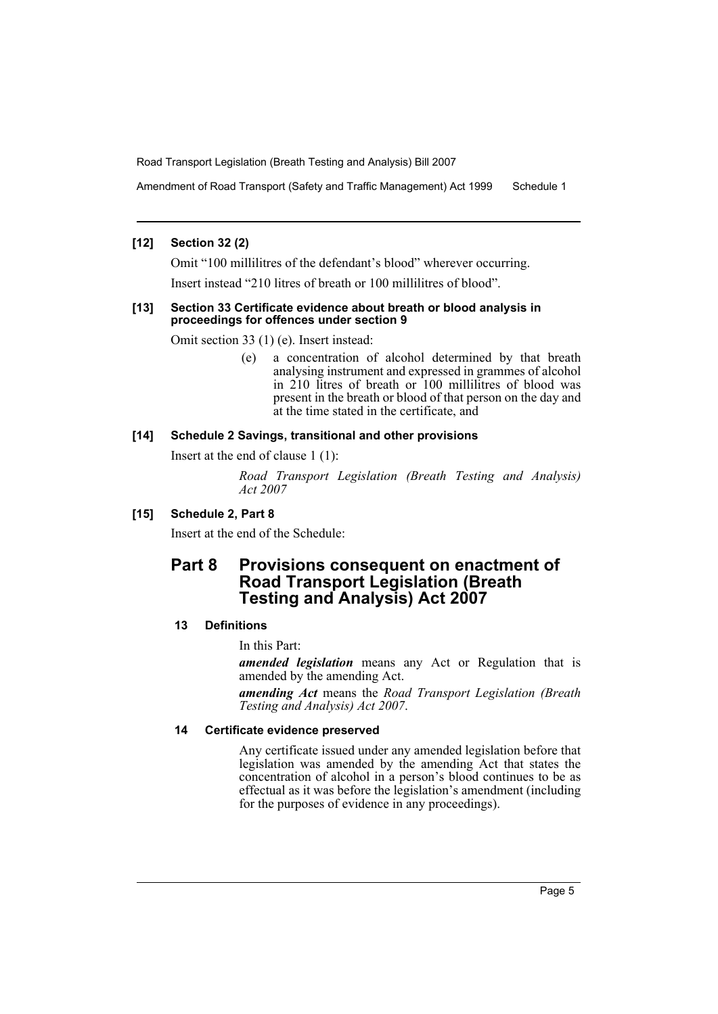Amendment of Road Transport (Safety and Traffic Management) Act 1999 Schedule 1

## **[12] Section 32 (2)**

Omit "100 millilitres of the defendant's blood" wherever occurring. Insert instead "210 litres of breath or 100 millilitres of blood".

#### **[13] Section 33 Certificate evidence about breath or blood analysis in proceedings for offences under section 9**

Omit section 33 (1) (e). Insert instead:

(e) a concentration of alcohol determined by that breath analysing instrument and expressed in grammes of alcohol in 210 litres of breath or 100 millilitres of blood was present in the breath or blood of that person on the day and at the time stated in the certificate, and

## **[14] Schedule 2 Savings, transitional and other provisions**

Insert at the end of clause 1 (1):

*Road Transport Legislation (Breath Testing and Analysis) Act 2007*

# **[15] Schedule 2, Part 8**

Insert at the end of the Schedule:

# **Part 8 Provisions consequent on enactment of Road Transport Legislation (Breath Testing and Analysis) Act 2007**

# **13 Definitions**

In this Part:

*amended legislation* means any Act or Regulation that is amended by the amending Act.

*amending Act* means the *Road Transport Legislation (Breath Testing and Analysis) Act 2007*.

## **14 Certificate evidence preserved**

Any certificate issued under any amended legislation before that legislation was amended by the amending Act that states the concentration of alcohol in a person's blood continues to be as effectual as it was before the legislation's amendment (including for the purposes of evidence in any proceedings).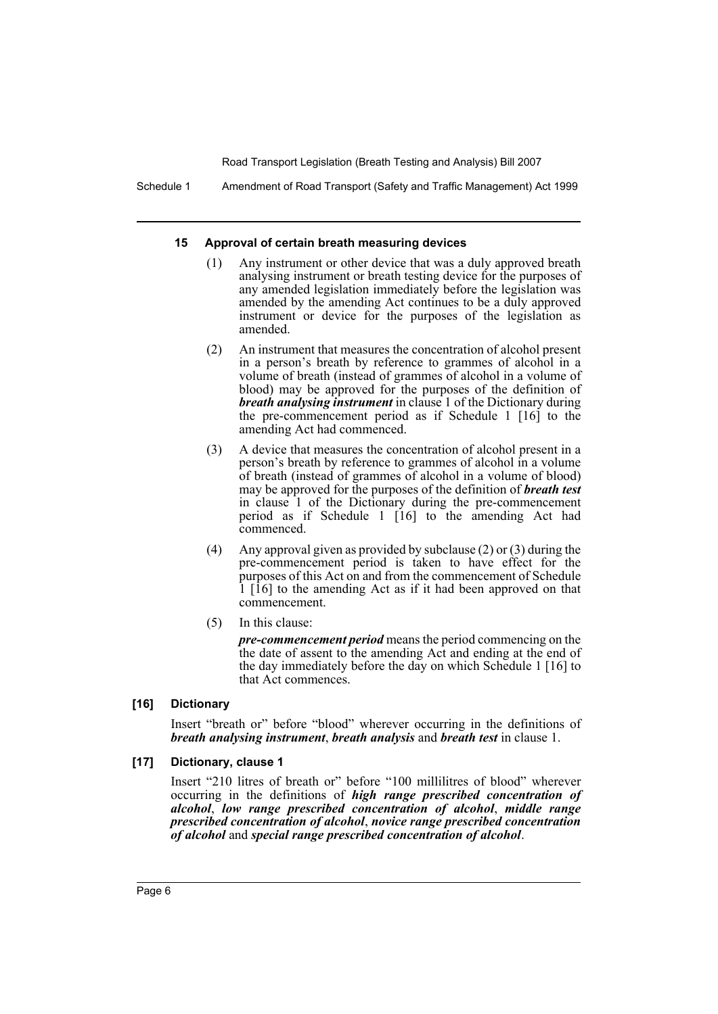Schedule 1 Amendment of Road Transport (Safety and Traffic Management) Act 1999

#### **15 Approval of certain breath measuring devices**

- (1) Any instrument or other device that was a duly approved breath analysing instrument or breath testing device for the purposes of any amended legislation immediately before the legislation was amended by the amending Act continues to be a duly approved instrument or device for the purposes of the legislation as amended.
- (2) An instrument that measures the concentration of alcohol present in a person's breath by reference to grammes of alcohol in a volume of breath (instead of grammes of alcohol in a volume of blood) may be approved for the purposes of the definition of *breath analysing instrument* in clause 1 of the Dictionary during the pre-commencement period as if Schedule 1 [16] to the amending Act had commenced.
- (3) A device that measures the concentration of alcohol present in a person's breath by reference to grammes of alcohol in a volume of breath (instead of grammes of alcohol in a volume of blood) may be approved for the purposes of the definition of *breath test* in clause 1 of the Dictionary during the pre-commencement period as if Schedule 1 [16] to the amending Act had commenced.
- (4) Any approval given as provided by subclause (2) or (3) during the pre-commencement period is taken to have effect for the purposes of this Act on and from the commencement of Schedule 1 [16] to the amending Act as if it had been approved on that commencement.
- (5) In this clause:

*pre-commencement period* means the period commencing on the the date of assent to the amending Act and ending at the end of the day immediately before the day on which Schedule 1 [16] to that Act commences.

# **[16] Dictionary**

Insert "breath or" before "blood" wherever occurring in the definitions of *breath analysing instrument*, *breath analysis* and *breath test* in clause 1.

#### **[17] Dictionary, clause 1**

Insert "210 litres of breath or" before "100 millilitres of blood" wherever occurring in the definitions of *high range prescribed concentration of alcohol*, *low range prescribed concentration of alcohol*, *middle range prescribed concentration of alcohol*, *novice range prescribed concentration of alcohol* and *special range prescribed concentration of alcohol*.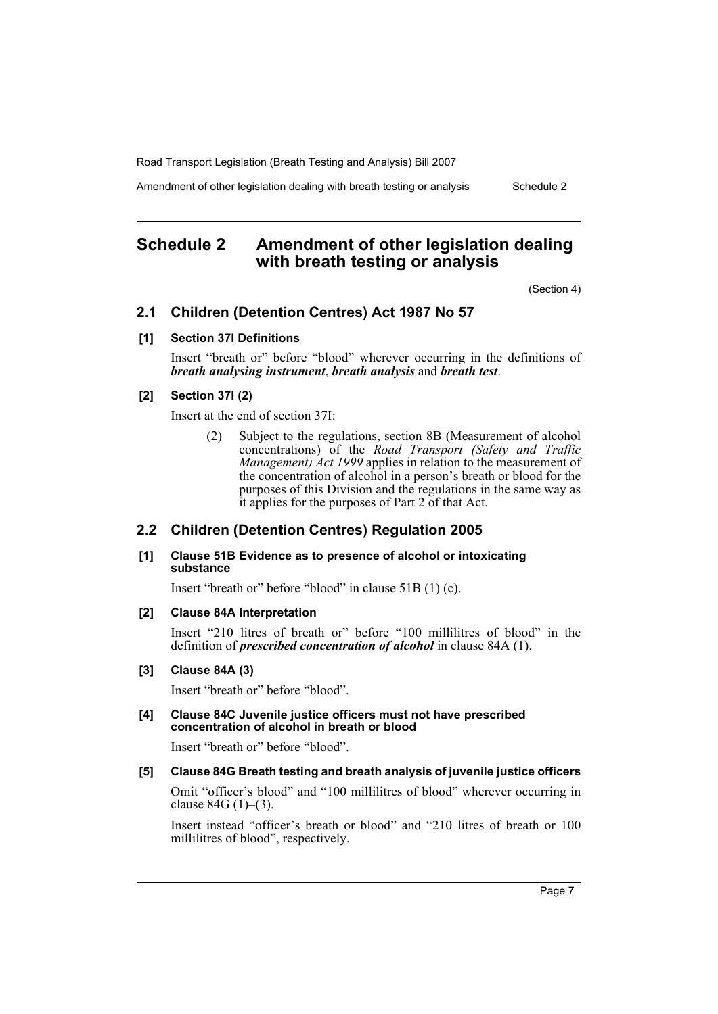Amendment of other legislation dealing with breath testing or analysis Schedule 2

# <span id="page-7-0"></span>**Schedule 2 Amendment of other legislation dealing with breath testing or analysis**

(Section 4)

# **2.1 Children (Detention Centres) Act 1987 No 57**

#### **[1] Section 37I Definitions**

Insert "breath or" before "blood" wherever occurring in the definitions of *breath analysing instrument*, *breath analysis* and *breath test*.

## **[2] Section 37I (2)**

Insert at the end of section 37I:

(2) Subject to the regulations, section 8B (Measurement of alcohol concentrations) of the *Road Transport (Safety and Traffic Management) Act 1999* applies in relation to the measurement of the concentration of alcohol in a person's breath or blood for the purposes of this Division and the regulations in the same way as it applies for the purposes of Part 2 of that Act.

# **2.2 Children (Detention Centres) Regulation 2005**

### **[1] Clause 51B Evidence as to presence of alcohol or intoxicating substance**

Insert "breath or" before "blood" in clause 51B (1) (c).

#### **[2] Clause 84A Interpretation**

Insert "210 litres of breath or" before "100 millilitres of blood" in the definition of *prescribed concentration of alcohol* in clause 84A (1).

#### **[3] Clause 84A (3)**

Insert "breath or" before "blood".

#### **[4] Clause 84C Juvenile justice officers must not have prescribed concentration of alcohol in breath or blood**

Insert "breath or" before "blood".

## **[5] Clause 84G Breath testing and breath analysis of juvenile justice officers**

Omit "officer's blood" and "100 millilitres of blood" wherever occurring in clause 84G (1)–(3).

Insert instead "officer's breath or blood" and "210 litres of breath or 100 millilitres of blood", respectively.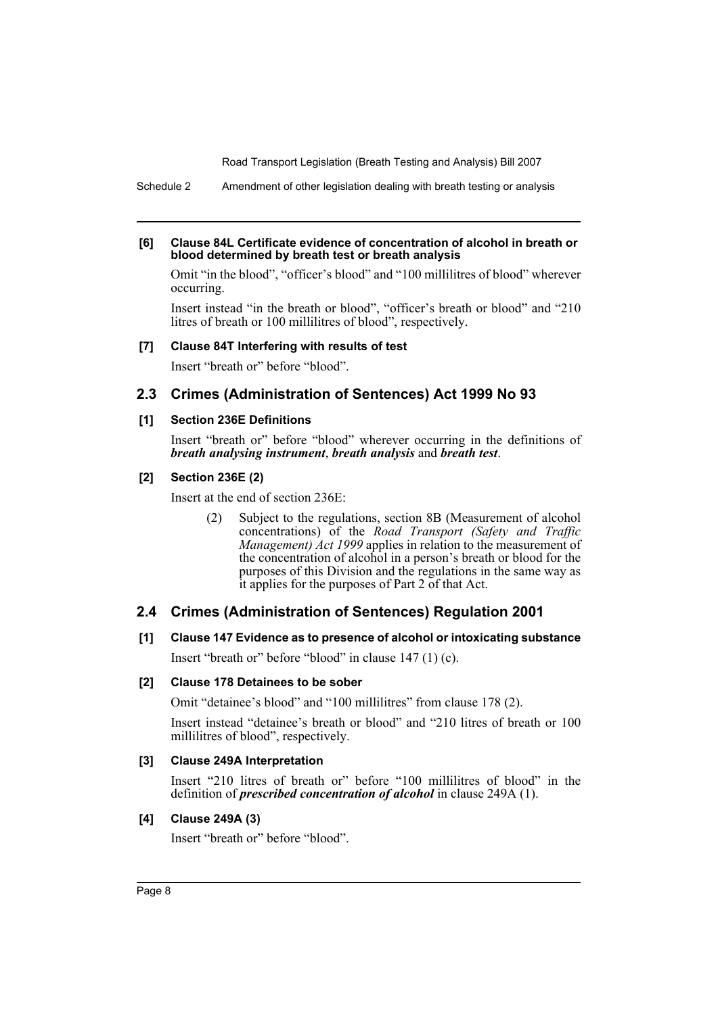Schedule 2 Amendment of other legislation dealing with breath testing or analysis

#### **[6] Clause 84L Certificate evidence of concentration of alcohol in breath or blood determined by breath test or breath analysis**

Omit "in the blood", "officer's blood" and "100 millilitres of blood" wherever occurring.

Insert instead "in the breath or blood", "officer's breath or blood" and "210 litres of breath or 100 millilitres of blood", respectively.

## **[7] Clause 84T Interfering with results of test**

Insert "breath or" before "blood".

# **2.3 Crimes (Administration of Sentences) Act 1999 No 93**

## **[1] Section 236E Definitions**

Insert "breath or" before "blood" wherever occurring in the definitions of *breath analysing instrument*, *breath analysis* and *breath test*.

## **[2] Section 236E (2)**

Insert at the end of section 236E:

(2) Subject to the regulations, section 8B (Measurement of alcohol concentrations) of the *Road Transport (Safety and Traffic Management) Act 1999* applies in relation to the measurement of the concentration of alcohol in a person's breath or blood for the purposes of this Division and the regulations in the same way as it applies for the purposes of Part 2 of that Act.

# **2.4 Crimes (Administration of Sentences) Regulation 2001**

# **[1] Clause 147 Evidence as to presence of alcohol or intoxicating substance**

Insert "breath or" before "blood" in clause 147 (1) (c).

# **[2] Clause 178 Detainees to be sober**

Omit "detainee's blood" and "100 millilitres" from clause 178 (2).

Insert instead "detainee's breath or blood" and "210 litres of breath or 100 millilitres of blood", respectively.

# **[3] Clause 249A Interpretation**

Insert "210 litres of breath or" before "100 millilitres of blood" in the definition of *prescribed concentration of alcohol* in clause 249A (1).

# **[4] Clause 249A (3)**

Insert "breath or" before "blood".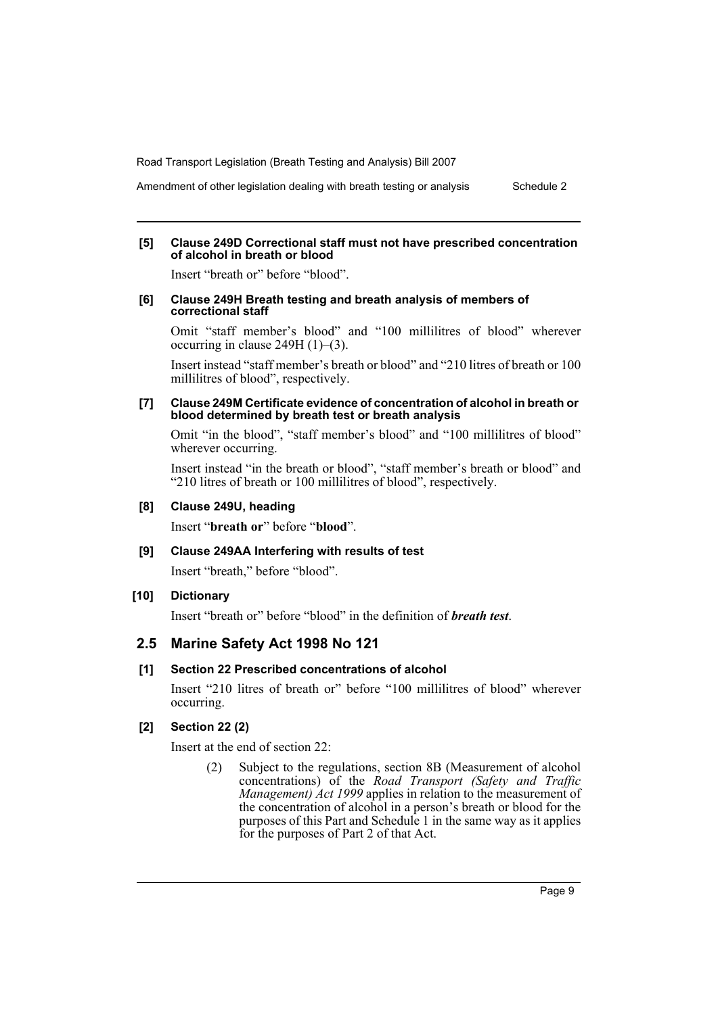Amendment of other legislation dealing with breath testing or analysis Schedule 2

#### **[5] Clause 249D Correctional staff must not have prescribed concentration of alcohol in breath or blood**

Insert "breath or" before "blood".

#### **[6] Clause 249H Breath testing and breath analysis of members of correctional staff**

Omit "staff member's blood" and "100 millilitres of blood" wherever occurring in clause 249H (1)–(3).

Insert instead "staff member's breath or blood" and "210 litres of breath or 100 millilitres of blood", respectively.

#### **[7] Clause 249M Certificate evidence of concentration of alcohol in breath or blood determined by breath test or breath analysis**

Omit "in the blood", "staff member's blood" and "100 millilitres of blood" wherever occurring.

Insert instead "in the breath or blood", "staff member's breath or blood" and "210 litres of breath or 100 millilitres of blood", respectively.

# **[8] Clause 249U, heading**

Insert "**breath or**" before "**blood**".

## **[9] Clause 249AA Interfering with results of test**

Insert "breath," before "blood".

# **[10] Dictionary**

Insert "breath or" before "blood" in the definition of *breath test*.

## **2.5 Marine Safety Act 1998 No 121**

#### **[1] Section 22 Prescribed concentrations of alcohol**

Insert "210 litres of breath or" before "100 millilitres of blood" wherever occurring.

# **[2] Section 22 (2)**

Insert at the end of section 22:

(2) Subject to the regulations, section 8B (Measurement of alcohol concentrations) of the *Road Transport (Safety and Traffic Management) Act 1999* applies in relation to the measurement of the concentration of alcohol in a person's breath or blood for the purposes of this Part and Schedule 1 in the same way as it applies for the purposes of Part 2 of that Act.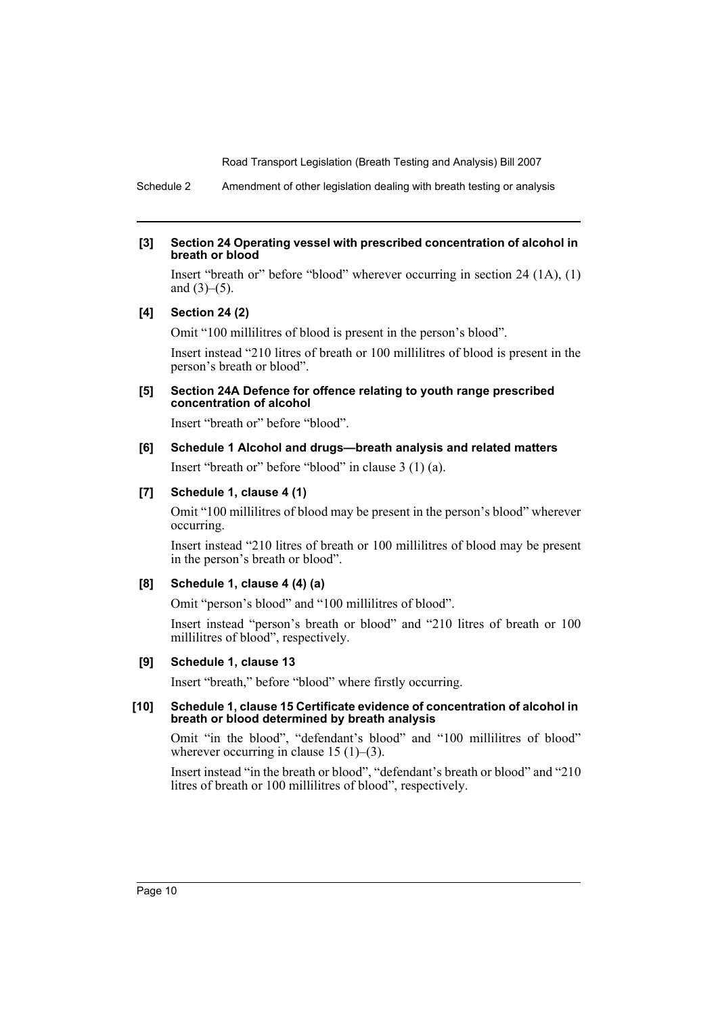Schedule 2 Amendment of other legislation dealing with breath testing or analysis

## **[3] Section 24 Operating vessel with prescribed concentration of alcohol in breath or blood**

Insert "breath or" before "blood" wherever occurring in section 24 (1A), (1) and  $(3)–(5)$ .

## **[4] Section 24 (2)**

Omit "100 millilitres of blood is present in the person's blood".

Insert instead "210 litres of breath or 100 millilitres of blood is present in the person's breath or blood".

## **[5] Section 24A Defence for offence relating to youth range prescribed concentration of alcohol**

Insert "breath or" before "blood".

## **[6] Schedule 1 Alcohol and drugs—breath analysis and related matters**

Insert "breath or" before "blood" in clause 3 (1) (a).

## **[7] Schedule 1, clause 4 (1)**

Omit "100 millilitres of blood may be present in the person's blood" wherever occurring.

Insert instead "210 litres of breath or 100 millilitres of blood may be present in the person's breath or blood".

#### **[8] Schedule 1, clause 4 (4) (a)**

Omit "person's blood" and "100 millilitres of blood".

Insert instead "person's breath or blood" and "210 litres of breath or 100 millilitres of blood", respectively.

## **[9] Schedule 1, clause 13**

Insert "breath," before "blood" where firstly occurring.

#### **[10] Schedule 1, clause 15 Certificate evidence of concentration of alcohol in breath or blood determined by breath analysis**

Omit "in the blood", "defendant's blood" and "100 millilitres of blood" wherever occurring in clause  $15(1)$ – $(3)$ .

Insert instead "in the breath or blood", "defendant's breath or blood" and "210 litres of breath or 100 millilitres of blood", respectively.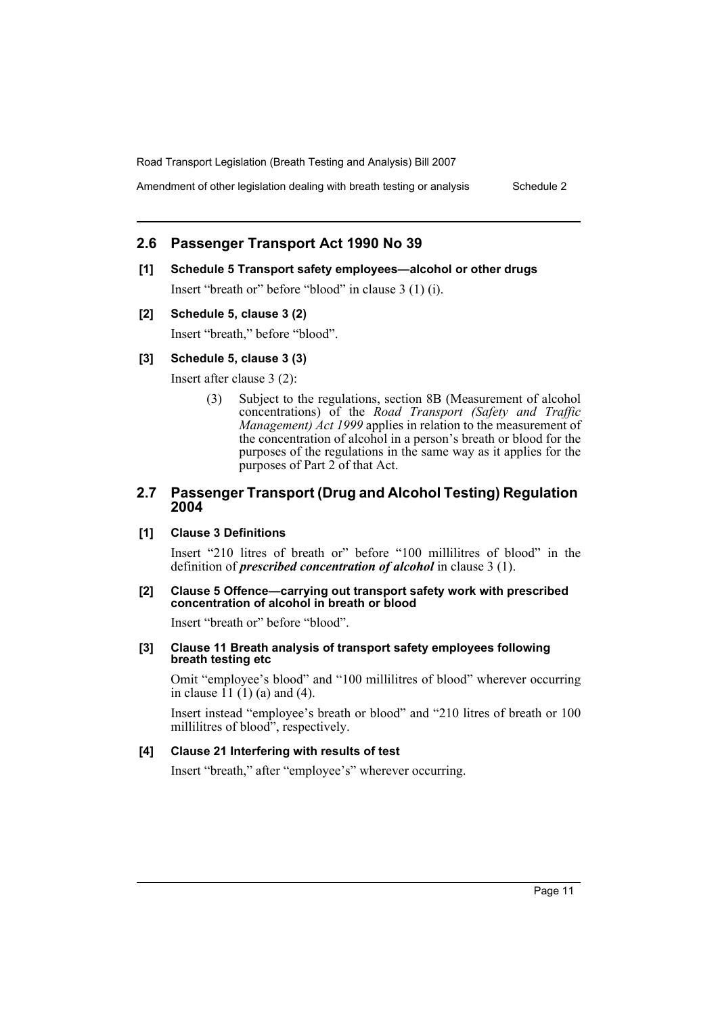Amendment of other legislation dealing with breath testing or analysis Schedule 2

# **2.6 Passenger Transport Act 1990 No 39**

#### **[1] Schedule 5 Transport safety employees—alcohol or other drugs**

Insert "breath or" before "blood" in clause 3 (1) (i).

## **[2] Schedule 5, clause 3 (2)**

Insert "breath," before "blood".

## **[3] Schedule 5, clause 3 (3)**

Insert after clause 3 (2):

(3) Subject to the regulations, section 8B (Measurement of alcohol concentrations) of the *Road Transport (Safety and Traffic Management) Act 1999* applies in relation to the measurement of the concentration of alcohol in a person's breath or blood for the purposes of the regulations in the same way as it applies for the purposes of Part 2 of that Act.

# **2.7 Passenger Transport (Drug and Alcohol Testing) Regulation 2004**

## **[1] Clause 3 Definitions**

Insert "210 litres of breath or" before "100 millilitres of blood" in the definition of *prescribed concentration of alcohol* in clause 3 (1).

#### **[2] Clause 5 Offence—carrying out transport safety work with prescribed concentration of alcohol in breath or blood**

Insert "breath or" before "blood".

#### **[3] Clause 11 Breath analysis of transport safety employees following breath testing etc**

Omit "employee's blood" and "100 millilitres of blood" wherever occurring in clause  $(1)(1)(a)$  and  $(4)$ .

Insert instead "employee's breath or blood" and "210 litres of breath or 100 millilitres of blood", respectively.

## **[4] Clause 21 Interfering with results of test**

Insert "breath," after "employee's" wherever occurring.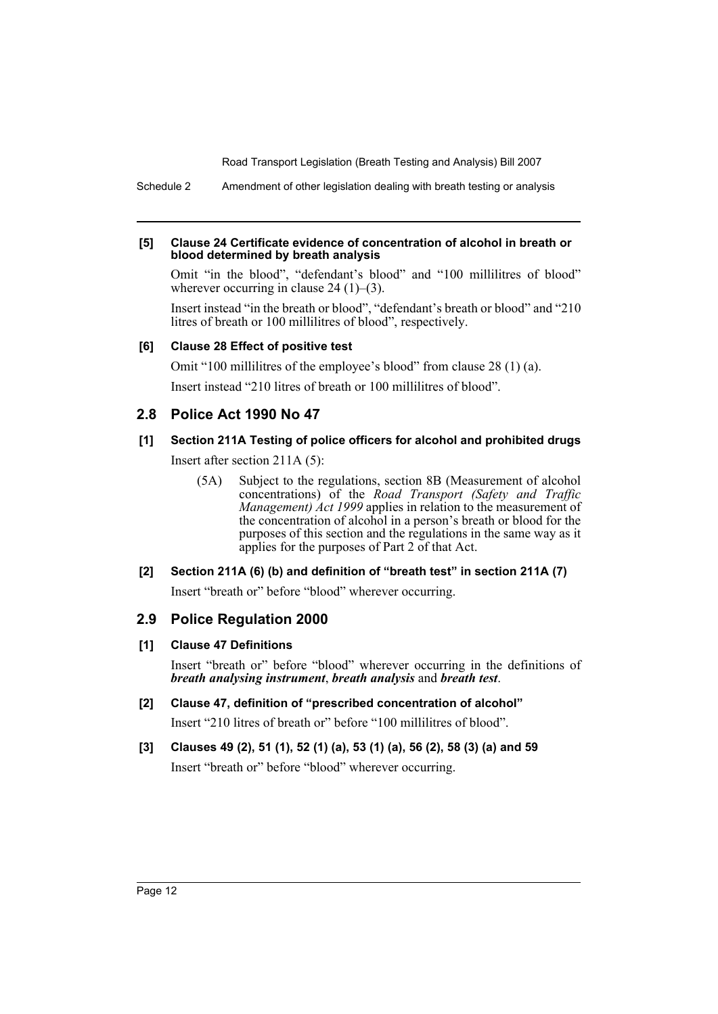Schedule 2 Amendment of other legislation dealing with breath testing or analysis

#### **[5] Clause 24 Certificate evidence of concentration of alcohol in breath or blood determined by breath analysis**

Omit "in the blood", "defendant's blood" and "100 millilitres of blood" wherever occurring in clause 24 (1)–(3).

Insert instead "in the breath or blood", "defendant's breath or blood" and "210 litres of breath or 100 millilitres of blood", respectively.

# **[6] Clause 28 Effect of positive test**

Omit "100 millilitres of the employee's blood" from clause 28 (1) (a). Insert instead "210 litres of breath or 100 millilitres of blood".

# **2.8 Police Act 1990 No 47**

# **[1] Section 211A Testing of police officers for alcohol and prohibited drugs**

Insert after section 211A (5):

(5A) Subject to the regulations, section 8B (Measurement of alcohol concentrations) of the *Road Transport (Safety and Traffic Management) Act 1999* applies in relation to the measurement of the concentration of alcohol in a person's breath or blood for the purposes of this section and the regulations in the same way as it applies for the purposes of Part 2 of that Act.

# **[2] Section 211A (6) (b) and definition of "breath test" in section 211A (7)**

Insert "breath or" before "blood" wherever occurring.

# **2.9 Police Regulation 2000**

# **[1] Clause 47 Definitions**

Insert "breath or" before "blood" wherever occurring in the definitions of *breath analysing instrument*, *breath analysis* and *breath test*.

- **[2] Clause 47, definition of "prescribed concentration of alcohol"** Insert "210 litres of breath or" before "100 millilitres of blood".
- **[3] Clauses 49 (2), 51 (1), 52 (1) (a), 53 (1) (a), 56 (2), 58 (3) (a) and 59** Insert "breath or" before "blood" wherever occurring.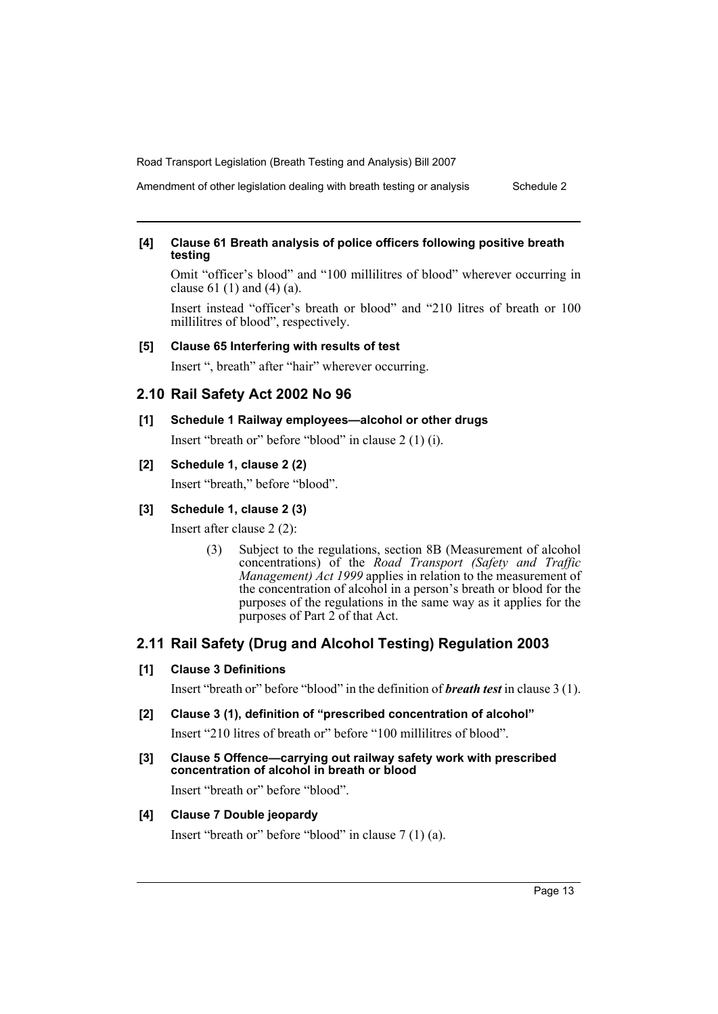Amendment of other legislation dealing with breath testing or analysis Schedule 2

#### **[4] Clause 61 Breath analysis of police officers following positive breath testing**

Omit "officer's blood" and "100 millilitres of blood" wherever occurring in clause 61 (1) and (4) (a).

Insert instead "officer's breath or blood" and "210 litres of breath or 100 millilitres of blood", respectively.

## **[5] Clause 65 Interfering with results of test**

Insert ", breath" after "hair" wherever occurring.

# **2.10 Rail Safety Act 2002 No 96**

**[1] Schedule 1 Railway employees—alcohol or other drugs**

Insert "breath or" before "blood" in clause 2 (1) (i).

# **[2] Schedule 1, clause 2 (2)**

Insert "breath," before "blood".

# **[3] Schedule 1, clause 2 (3)**

Insert after clause 2 (2):

(3) Subject to the regulations, section 8B (Measurement of alcohol concentrations) of the *Road Transport (Safety and Traffic Management) Act 1999* applies in relation to the measurement of the concentration of alcohol in a person's breath or blood for the purposes of the regulations in the same way as it applies for the purposes of Part 2 of that Act.

# **2.11 Rail Safety (Drug and Alcohol Testing) Regulation 2003**

#### **[1] Clause 3 Definitions**

Insert "breath or" before "blood" in the definition of *breath test* in clause 3 (1).

## **[2] Clause 3 (1), definition of "prescribed concentration of alcohol"**

Insert "210 litres of breath or" before "100 millilitres of blood".

**[3] Clause 5 Offence—carrying out railway safety work with prescribed concentration of alcohol in breath or blood**

Insert "breath or" before "blood".

# **[4] Clause 7 Double jeopardy**

Insert "breath or" before "blood" in clause 7 (1) (a).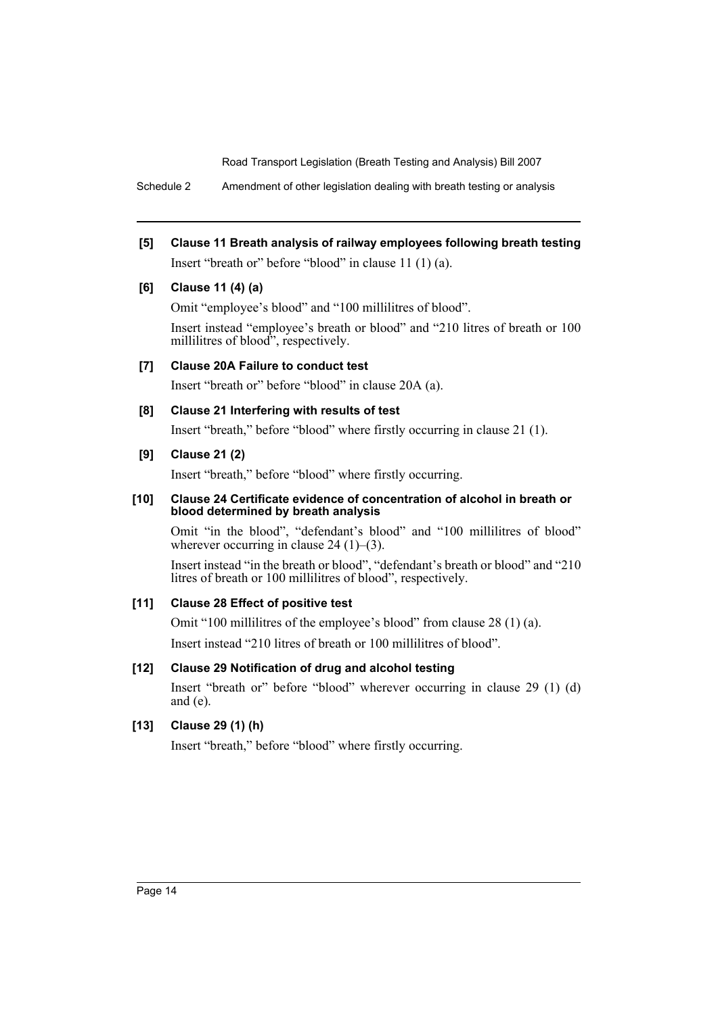Schedule 2 Amendment of other legislation dealing with breath testing or analysis

**[5] Clause 11 Breath analysis of railway employees following breath testing** Insert "breath or" before "blood" in clause 11 (1) (a).

# **[6] Clause 11 (4) (a)**

Omit "employee's blood" and "100 millilitres of blood".

Insert instead "employee's breath or blood" and "210 litres of breath or 100 millilitres of blood", respectively.

# **[7] Clause 20A Failure to conduct test**

Insert "breath or" before "blood" in clause 20A (a).

# **[8] Clause 21 Interfering with results of test**

Insert "breath," before "blood" where firstly occurring in clause 21 (1).

# **[9] Clause 21 (2)**

Insert "breath," before "blood" where firstly occurring.

## **[10] Clause 24 Certificate evidence of concentration of alcohol in breath or blood determined by breath analysis**

Omit "in the blood", "defendant's blood" and "100 millilitres of blood" wherever occurring in clause 24  $(1)$ – $(3)$ .

Insert instead "in the breath or blood", "defendant's breath or blood" and "210 litres of breath or 100 millilitres of blood", respectively.

# **[11] Clause 28 Effect of positive test**

Omit "100 millilitres of the employee's blood" from clause 28 (1) (a). Insert instead "210 litres of breath or 100 millilitres of blood".

# **[12] Clause 29 Notification of drug and alcohol testing**

Insert "breath or" before "blood" wherever occurring in clause 29 (1) (d) and (e).

# **[13] Clause 29 (1) (h)**

Insert "breath," before "blood" where firstly occurring.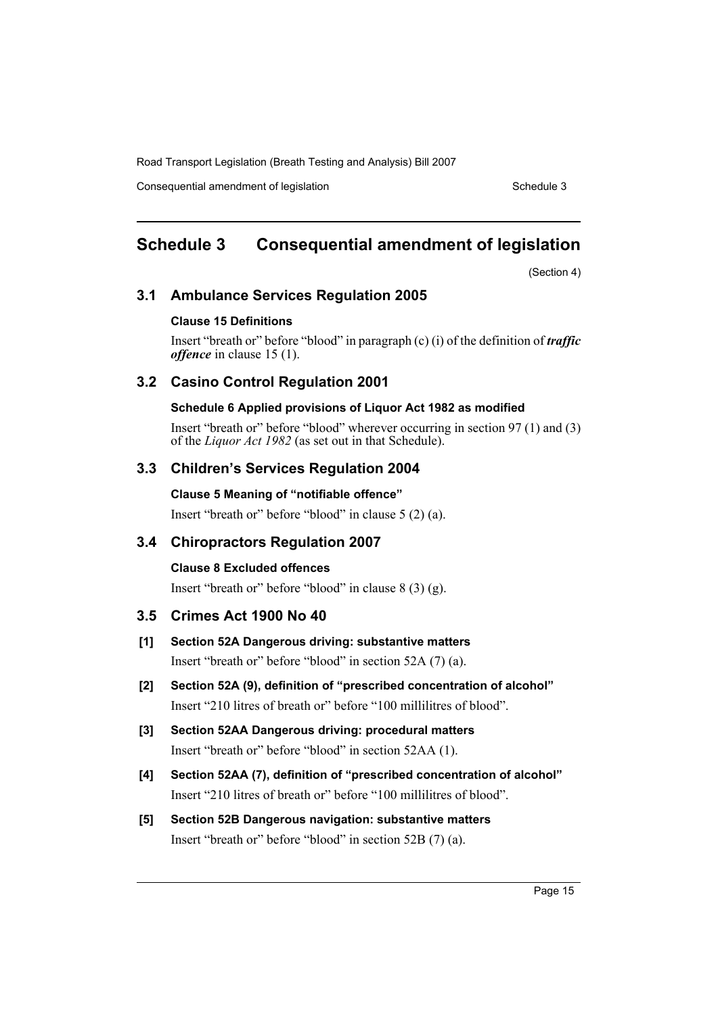Consequential amendment of legislation Schedule 3

# <span id="page-15-0"></span>**Schedule 3 Consequential amendment of legislation**

(Section 4)

# **3.1 Ambulance Services Regulation 2005**

## **Clause 15 Definitions**

Insert "breath or" before "blood" in paragraph (c) (i) of the definition of *traffic offence* in clause 15 (1).

# **3.2 Casino Control Regulation 2001**

## **Schedule 6 Applied provisions of Liquor Act 1982 as modified**

Insert "breath or" before "blood" wherever occurring in section 97 (1) and (3) of the *Liquor Act 1982* (as set out in that Schedule).

# **3.3 Children's Services Regulation 2004**

## **Clause 5 Meaning of "notifiable offence"**

Insert "breath or" before "blood" in clause 5 (2) (a).

# **3.4 Chiropractors Regulation 2007**

# **Clause 8 Excluded offences**

Insert "breath or" before "blood" in clause 8 (3) (g).

# **3.5 Crimes Act 1900 No 40**

**[1] Section 52A Dangerous driving: substantive matters**

Insert "breath or" before "blood" in section 52A (7) (a).

- **[2] Section 52A (9), definition of "prescribed concentration of alcohol"** Insert "210 litres of breath or" before "100 millilitres of blood".
- **[3] Section 52AA Dangerous driving: procedural matters** Insert "breath or" before "blood" in section 52AA (1).
- **[4] Section 52AA (7), definition of "prescribed concentration of alcohol"** Insert "210 litres of breath or" before "100 millilitres of blood".
- **[5] Section 52B Dangerous navigation: substantive matters** Insert "breath or" before "blood" in section 52B (7) (a).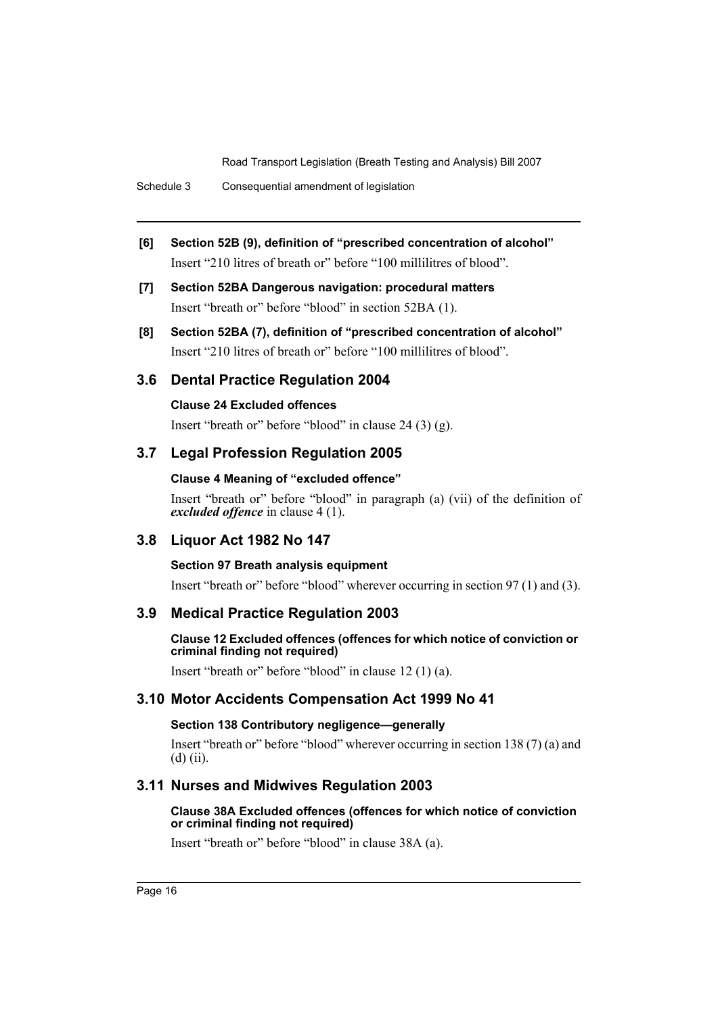Schedule 3 Consequential amendment of legislation

- **[6] Section 52B (9), definition of "prescribed concentration of alcohol"** Insert "210 litres of breath or" before "100 millilitres of blood".
- **[7] Section 52BA Dangerous navigation: procedural matters** Insert "breath or" before "blood" in section 52BA (1).
- **[8] Section 52BA (7), definition of "prescribed concentration of alcohol"** Insert "210 litres of breath or" before "100 millilitres of blood".

# **3.6 Dental Practice Regulation 2004**

## **Clause 24 Excluded offences**

Insert "breath or" before "blood" in clause 24 (3) (g).

# **3.7 Legal Profession Regulation 2005**

# **Clause 4 Meaning of "excluded offence"**

Insert "breath or" before "blood" in paragraph (a) (vii) of the definition of *excluded offence* in clause 4 (1).

# **3.8 Liquor Act 1982 No 147**

# **Section 97 Breath analysis equipment**

Insert "breath or" before "blood" wherever occurring in section 97 (1) and (3).

# **3.9 Medical Practice Regulation 2003**

# **Clause 12 Excluded offences (offences for which notice of conviction or criminal finding not required)**

Insert "breath or" before "blood" in clause 12 (1) (a).

# **3.10 Motor Accidents Compensation Act 1999 No 41**

# **Section 138 Contributory negligence—generally**

Insert "breath or" before "blood" wherever occurring in section 138 (7) (a) and  $(d)$  (ii).

# **3.11 Nurses and Midwives Regulation 2003**

## **Clause 38A Excluded offences (offences for which notice of conviction or criminal finding not required)**

Insert "breath or" before "blood" in clause 38A (a).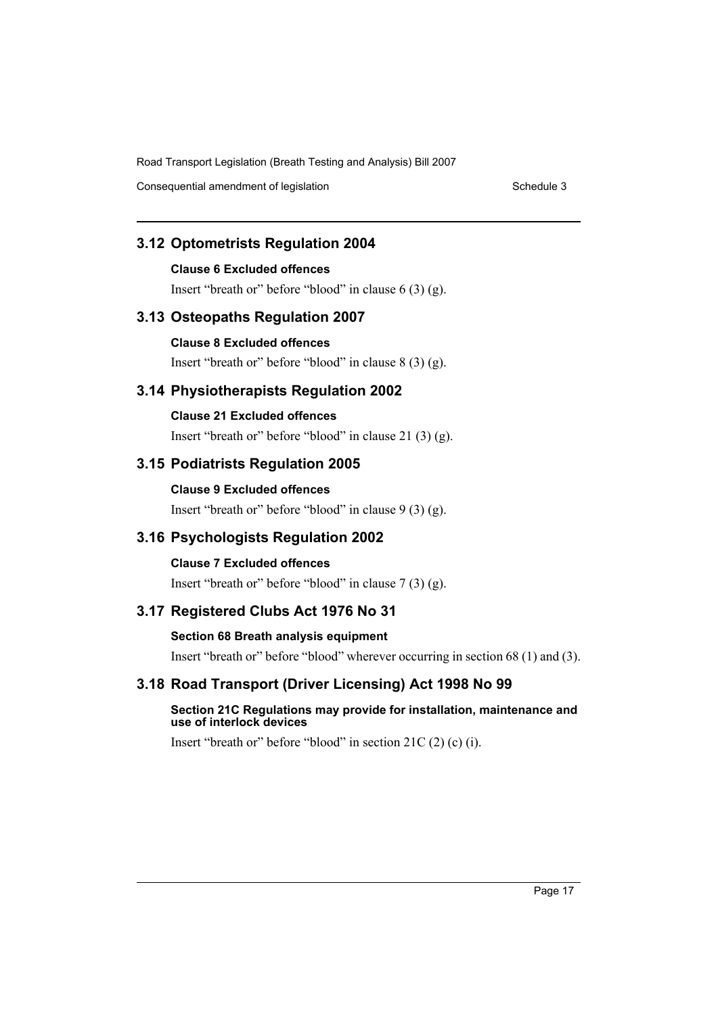Consequential amendment of legislation Schedule 3

# **3.12 Optometrists Regulation 2004**

# **Clause 6 Excluded offences**

Insert "breath or" before "blood" in clause 6 (3) (g).

# **3.13 Osteopaths Regulation 2007**

# **Clause 8 Excluded offences**

Insert "breath or" before "blood" in clause 8 (3) (g).

# **3.14 Physiotherapists Regulation 2002**

**Clause 21 Excluded offences** Insert "breath or" before "blood" in clause 21 (3) (g).

# **3.15 Podiatrists Regulation 2005**

# **Clause 9 Excluded offences** Insert "breath or" before "blood" in clause 9 (3) (g).

# **3.16 Psychologists Regulation 2002**

# **Clause 7 Excluded offences**

# Insert "breath or" before "blood" in clause 7 (3) (g).

# **3.17 Registered Clubs Act 1976 No 31**

# **Section 68 Breath analysis equipment**

Insert "breath or" before "blood" wherever occurring in section 68 (1) and (3).

# **3.18 Road Transport (Driver Licensing) Act 1998 No 99**

## **Section 21C Regulations may provide for installation, maintenance and use of interlock devices**

Insert "breath or" before "blood" in section 21C (2) (c) (i).